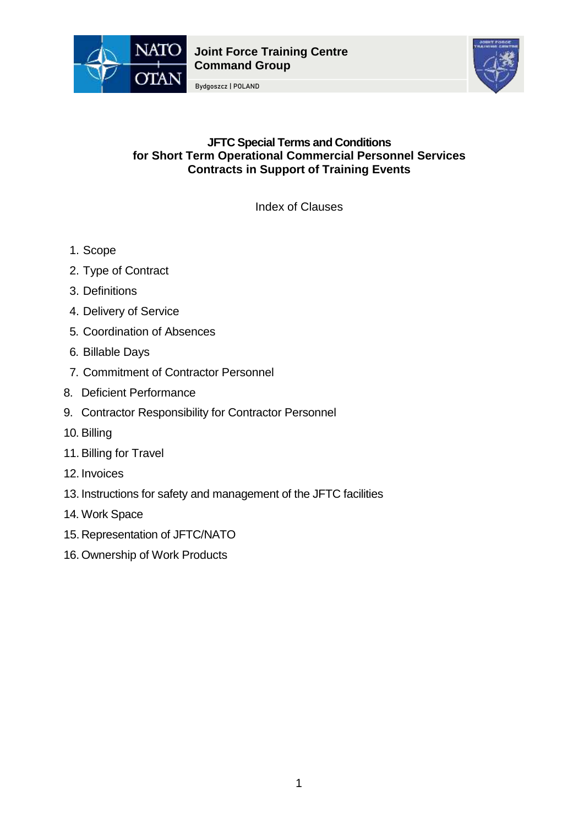

Bydgoszcz | POLAND



# **JFTC Special Terms and Conditions for Short Term Operational Commercial Personnel Services Contracts in Support of Training Events**

Index of Clauses

- 1. Scope
- 2. Type of Contract
- 3. Definitions
- 4. Delivery of Service
- 5. Coordination of Absences
- 6. Billable Days
- 7. Commitment of Contractor Personnel
- 8. Deficient Performance
- 9. Contractor Responsibility for Contractor Personnel
- 10. Billing
- 11.Billing for Travel
- 12. Invoices
- 13. Instructions for safety and management of the JFTC facilities
- 14. Work Space
- 15.Representation of JFTC/NATO
- 16. Ownership of Work Products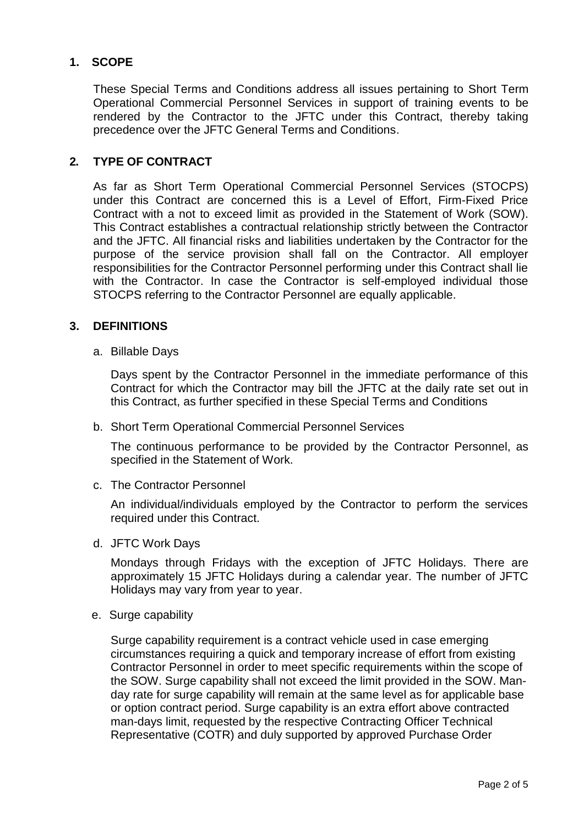# **1. SCOPE**

These Special Terms and Conditions address all issues pertaining to Short Term Operational Commercial Personnel Services in support of training events to be rendered by the Contractor to the JFTC under this Contract, thereby taking precedence over the JFTC General Terms and Conditions.

## **2. TYPE OF CONTRACT**

As far as Short Term Operational Commercial Personnel Services (STOCPS) under this Contract are concerned this is a Level of Effort, Firm-Fixed Price Contract with a not to exceed limit as provided in the Statement of Work (SOW). This Contract establishes a contractual relationship strictly between the Contractor and the JFTC. All financial risks and liabilities undertaken by the Contractor for the purpose of the service provision shall fall on the Contractor. All employer responsibilities for the Contractor Personnel performing under this Contract shall lie with the Contractor. In case the Contractor is self-employed individual those STOCPS referring to the Contractor Personnel are equally applicable.

### **3. DEFINITIONS**

a. Billable Days

Days spent by the Contractor Personnel in the immediate performance of this Contract for which the Contractor may bill the JFTC at the daily rate set out in this Contract, as further specified in these Special Terms and Conditions

b. Short Term Operational Commercial Personnel Services

The continuous performance to be provided by the Contractor Personnel, as specified in the Statement of Work.

c. The Contractor Personnel

An individual/individuals employed by the Contractor to perform the services required under this Contract.

d. JFTC Work Days

Mondays through Fridays with the exception of JFTC Holidays. There are approximately 15 JFTC Holidays during a calendar year. The number of JFTC Holidays may vary from year to year.

e. Surge capability

Surge capability requirement is a contract vehicle used in case emerging circumstances requiring a quick and temporary increase of effort from existing Contractor Personnel in order to meet specific requirements within the scope of the SOW. Surge capability shall not exceed the limit provided in the SOW. Manday rate for surge capability will remain at the same level as for applicable base or option contract period. Surge capability is an extra effort above contracted man-days limit, requested by the respective Contracting Officer Technical Representative (COTR) and duly supported by approved Purchase Order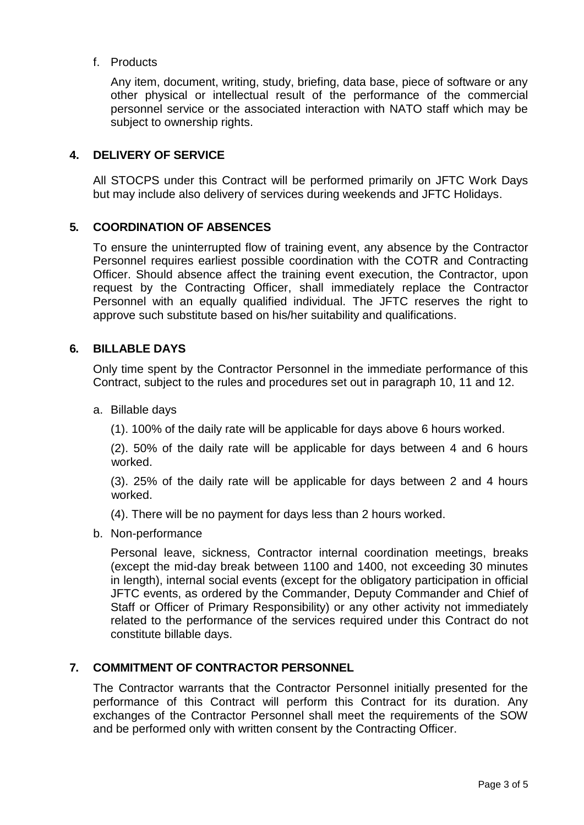f. Products

Any item, document, writing, study, briefing, data base, piece of software or any other physical or intellectual result of the performance of the commercial personnel service or the associated interaction with NATO staff which may be subject to ownership rights.

### **4. DELIVERY OF SERVICE**

All STOCPS under this Contract will be performed primarily on JFTC Work Days but may include also delivery of services during weekends and JFTC Holidays.

### **5. COORDINATION OF ABSENCES**

To ensure the uninterrupted flow of training event, any absence by the Contractor Personnel requires earliest possible coordination with the COTR and Contracting Officer. Should absence affect the training event execution, the Contractor, upon request by the Contracting Officer, shall immediately replace the Contractor Personnel with an equally qualified individual. The JFTC reserves the right to approve such substitute based on his/her suitability and qualifications.

### **6. BILLABLE DAYS**

Only time spent by the Contractor Personnel in the immediate performance of this Contract, subject to the rules and procedures set out in paragraph 10, 11 and 12.

a. Billable days

(1). 100% of the daily rate will be applicable for days above 6 hours worked.

(2). 50% of the daily rate will be applicable for days between 4 and 6 hours worked.

(3). 25% of the daily rate will be applicable for days between 2 and 4 hours worked.

(4). There will be no payment for days less than 2 hours worked.

b. Non-performance

Personal leave, sickness, Contractor internal coordination meetings, breaks (except the mid-day break between 1100 and 1400, not exceeding 30 minutes in length), internal social events (except for the obligatory participation in official JFTC events, as ordered by the Commander, Deputy Commander and Chief of Staff or Officer of Primary Responsibility) or any other activity not immediately related to the performance of the services required under this Contract do not constitute billable days.

### **7. COMMITMENT OF CONTRACTOR PERSONNEL**

The Contractor warrants that the Contractor Personnel initially presented for the performance of this Contract will perform this Contract for its duration. Any exchanges of the Contractor Personnel shall meet the requirements of the SOW and be performed only with written consent by the Contracting Officer.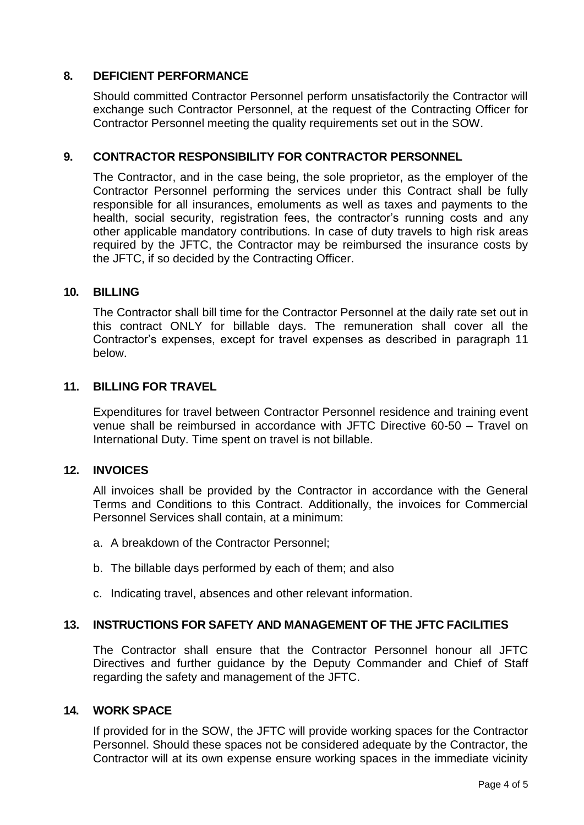### **8. DEFICIENT PERFORMANCE**

Should committed Contractor Personnel perform unsatisfactorily the Contractor will exchange such Contractor Personnel, at the request of the Contracting Officer for Contractor Personnel meeting the quality requirements set out in the SOW.

## **9. CONTRACTOR RESPONSIBILITY FOR CONTRACTOR PERSONNEL**

The Contractor, and in the case being, the sole proprietor, as the employer of the Contractor Personnel performing the services under this Contract shall be fully responsible for all insurances, emoluments as well as taxes and payments to the health, social security, registration fees, the contractor's running costs and any other applicable mandatory contributions. In case of duty travels to high risk areas required by the JFTC, the Contractor may be reimbursed the insurance costs by the JFTC, if so decided by the Contracting Officer.

### **10. BILLING**

The Contractor shall bill time for the Contractor Personnel at the daily rate set out in this contract ONLY for billable days. The remuneration shall cover all the Contractor's expenses, except for travel expenses as described in paragraph 11 below.

### **11. BILLING FOR TRAVEL**

Expenditures for travel between Contractor Personnel residence and training event venue shall be reimbursed in accordance with JFTC Directive 60-50 – Travel on International Duty. Time spent on travel is not billable.

### **12. INVOICES**

All invoices shall be provided by the Contractor in accordance with the General Terms and Conditions to this Contract. Additionally, the invoices for Commercial Personnel Services shall contain, at a minimum:

- a. A breakdown of the Contractor Personnel;
- b. The billable days performed by each of them; and also
- c. Indicating travel, absences and other relevant information.

### **13. INSTRUCTIONS FOR SAFETY AND MANAGEMENT OF THE JFTC FACILITIES**

The Contractor shall ensure that the Contractor Personnel honour all JFTC Directives and further guidance by the Deputy Commander and Chief of Staff regarding the safety and management of the JFTC.

#### **14. WORK SPACE**

If provided for in the SOW, the JFTC will provide working spaces for the Contractor Personnel. Should these spaces not be considered adequate by the Contractor, the Contractor will at its own expense ensure working spaces in the immediate vicinity